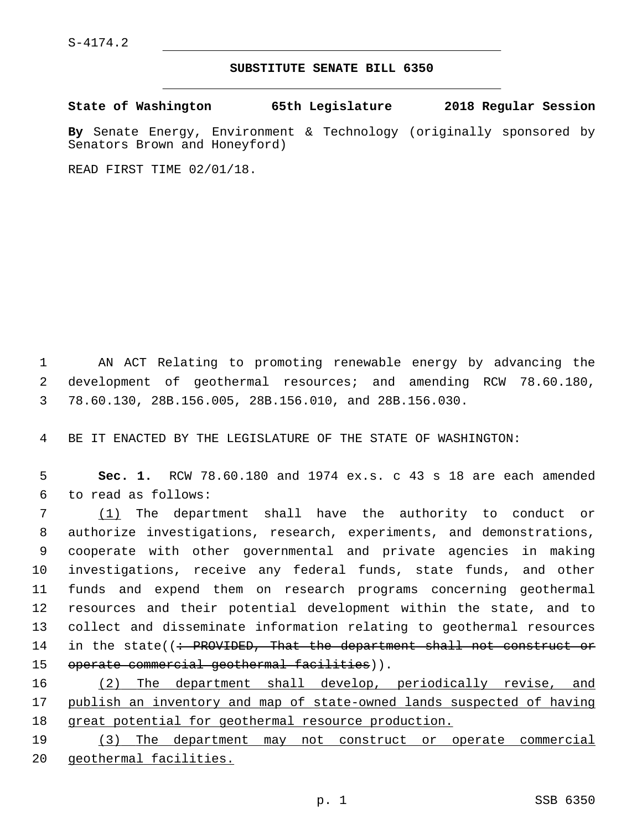S-4174.2

## **SUBSTITUTE SENATE BILL 6350**

**State of Washington 65th Legislature 2018 Regular Session**

**By** Senate Energy, Environment & Technology (originally sponsored by Senators Brown and Honeyford)

READ FIRST TIME 02/01/18.

1 AN ACT Relating to promoting renewable energy by advancing the 2 development of geothermal resources; and amending RCW 78.60.180, 3 78.60.130, 28B.156.005, 28B.156.010, and 28B.156.030.

4 BE IT ENACTED BY THE LEGISLATURE OF THE STATE OF WASHINGTON:

5 **Sec. 1.** RCW 78.60.180 and 1974 ex.s. c 43 s 18 are each amended 6 to read as follows:

 (1) The department shall have the authority to conduct or authorize investigations, research, experiments, and demonstrations, cooperate with other governmental and private agencies in making investigations, receive any federal funds, state funds, and other funds and expend them on research programs concerning geothermal resources and their potential development within the state, and to collect and disseminate information relating to geothermal resources 14 in the state( $\left($ : PROVIDED, That the department shall not construct or 15 operate commercial geothermal facilities)).

16 (2) The department shall develop, periodically revise, and 17 publish an inventory and map of state-owned lands suspected of having 18 great potential for geothermal resource production.

19 (3) The department may not construct or operate commercial 20 geothermal facilities.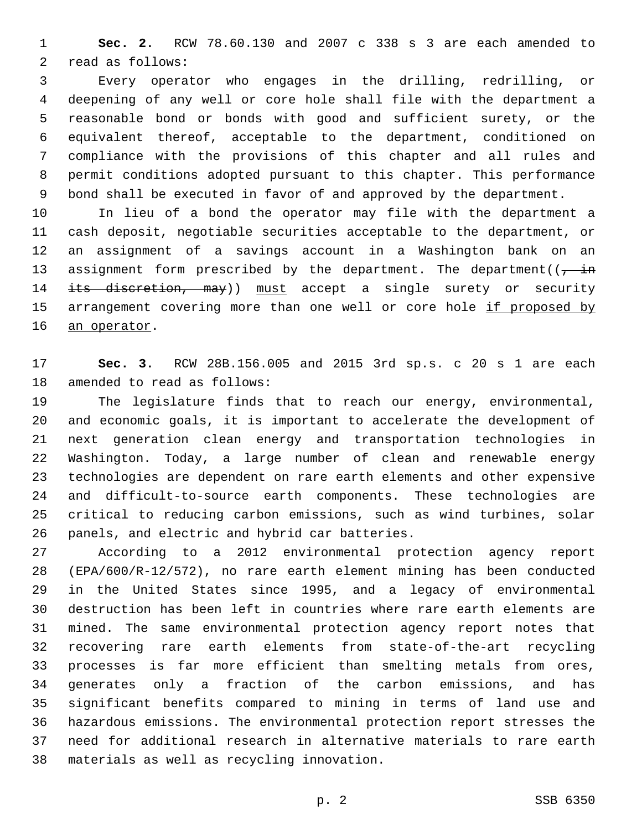**Sec. 2.** RCW 78.60.130 and 2007 c 338 s 3 are each amended to 2 read as follows:

 Every operator who engages in the drilling, redrilling, or deepening of any well or core hole shall file with the department a reasonable bond or bonds with good and sufficient surety, or the equivalent thereof, acceptable to the department, conditioned on compliance with the provisions of this chapter and all rules and permit conditions adopted pursuant to this chapter. This performance bond shall be executed in favor of and approved by the department.

 In lieu of a bond the operator may file with the department a cash deposit, negotiable securities acceptable to the department, or an assignment of a savings account in a Washington bank on an 13 assignment form prescribed by the department. The department( $\overline{(-\text{in}})$ 14 its discretion, may)) must accept a single surety or security 15 arrangement covering more than one well or core hole if proposed by 16 an operator.

 **Sec. 3.** RCW 28B.156.005 and 2015 3rd sp.s. c 20 s 1 are each 18 amended to read as follows:

 The legislature finds that to reach our energy, environmental, and economic goals, it is important to accelerate the development of next generation clean energy and transportation technologies in Washington. Today, a large number of clean and renewable energy technologies are dependent on rare earth elements and other expensive and difficult-to-source earth components. These technologies are critical to reducing carbon emissions, such as wind turbines, solar 26 panels, and electric and hybrid car batteries.

 According to a 2012 environmental protection agency report (EPA/600/R-12/572), no rare earth element mining has been conducted in the United States since 1995, and a legacy of environmental destruction has been left in countries where rare earth elements are mined. The same environmental protection agency report notes that recovering rare earth elements from state-of-the-art recycling processes is far more efficient than smelting metals from ores, generates only a fraction of the carbon emissions, and has significant benefits compared to mining in terms of land use and hazardous emissions. The environmental protection report stresses the need for additional research in alternative materials to rare earth 38 materials as well as recycling innovation.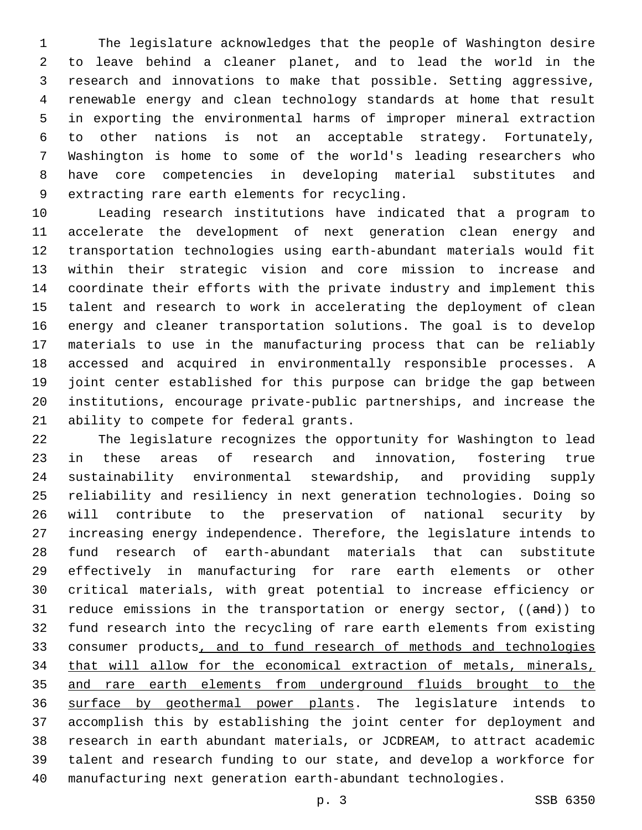The legislature acknowledges that the people of Washington desire to leave behind a cleaner planet, and to lead the world in the research and innovations to make that possible. Setting aggressive, renewable energy and clean technology standards at home that result in exporting the environmental harms of improper mineral extraction to other nations is not an acceptable strategy. Fortunately, Washington is home to some of the world's leading researchers who have core competencies in developing material substitutes and 9 extracting rare earth elements for recycling.

 Leading research institutions have indicated that a program to accelerate the development of next generation clean energy and transportation technologies using earth-abundant materials would fit within their strategic vision and core mission to increase and coordinate their efforts with the private industry and implement this talent and research to work in accelerating the deployment of clean energy and cleaner transportation solutions. The goal is to develop materials to use in the manufacturing process that can be reliably accessed and acquired in environmentally responsible processes. A joint center established for this purpose can bridge the gap between institutions, encourage private-public partnerships, and increase the 21 ability to compete for federal grants.

 The legislature recognizes the opportunity for Washington to lead in these areas of research and innovation, fostering true sustainability environmental stewardship, and providing supply reliability and resiliency in next generation technologies. Doing so will contribute to the preservation of national security by increasing energy independence. Therefore, the legislature intends to fund research of earth-abundant materials that can substitute effectively in manufacturing for rare earth elements or other critical materials, with great potential to increase efficiency or 31 reduce emissions in the transportation or energy sector, ((and)) to fund research into the recycling of rare earth elements from existing consumer products, and to fund research of methods and technologies that will allow for the economical extraction of metals, minerals, and rare earth elements from underground fluids brought to the surface by geothermal power plants. The legislature intends to accomplish this by establishing the joint center for deployment and research in earth abundant materials, or JCDREAM, to attract academic talent and research funding to our state, and develop a workforce for manufacturing next generation earth-abundant technologies.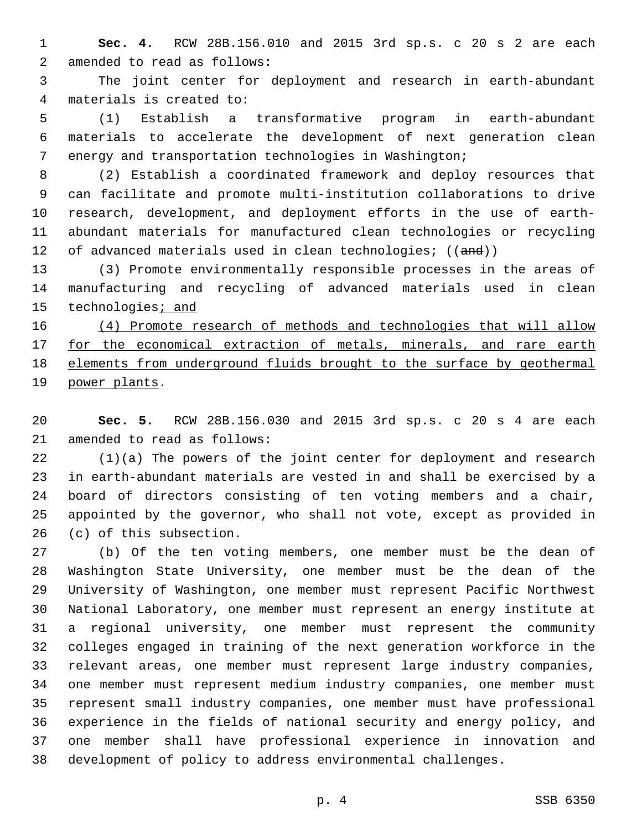**Sec. 4.** RCW 28B.156.010 and 2015 3rd sp.s. c 20 s 2 are each 2 amended to read as follows:

 The joint center for deployment and research in earth-abundant materials is created to:4

 (1) Establish a transformative program in earth-abundant materials to accelerate the development of next generation clean energy and transportation technologies in Washington;

 (2) Establish a coordinated framework and deploy resources that can facilitate and promote multi-institution collaborations to drive research, development, and deployment efforts in the use of earth- abundant materials for manufactured clean technologies or recycling 12 of advanced materials used in clean technologies; ((and))

 (3) Promote environmentally responsible processes in the areas of manufacturing and recycling of advanced materials used in clean 15 technologies<sub>i</sub> and

 (4) Promote research of methods and technologies that will allow 17 for the economical extraction of metals, minerals, and rare earth elements from underground fluids brought to the surface by geothermal 19 power plants.

 **Sec. 5.** RCW 28B.156.030 and 2015 3rd sp.s. c 20 s 4 are each 21 amended to read as follows:

 (1)(a) The powers of the joint center for deployment and research in earth-abundant materials are vested in and shall be exercised by a board of directors consisting of ten voting members and a chair, appointed by the governor, who shall not vote, except as provided in 26 (c) of this subsection.

 (b) Of the ten voting members, one member must be the dean of Washington State University, one member must be the dean of the University of Washington, one member must represent Pacific Northwest National Laboratory, one member must represent an energy institute at a regional university, one member must represent the community colleges engaged in training of the next generation workforce in the relevant areas, one member must represent large industry companies, one member must represent medium industry companies, one member must represent small industry companies, one member must have professional experience in the fields of national security and energy policy, and one member shall have professional experience in innovation and development of policy to address environmental challenges.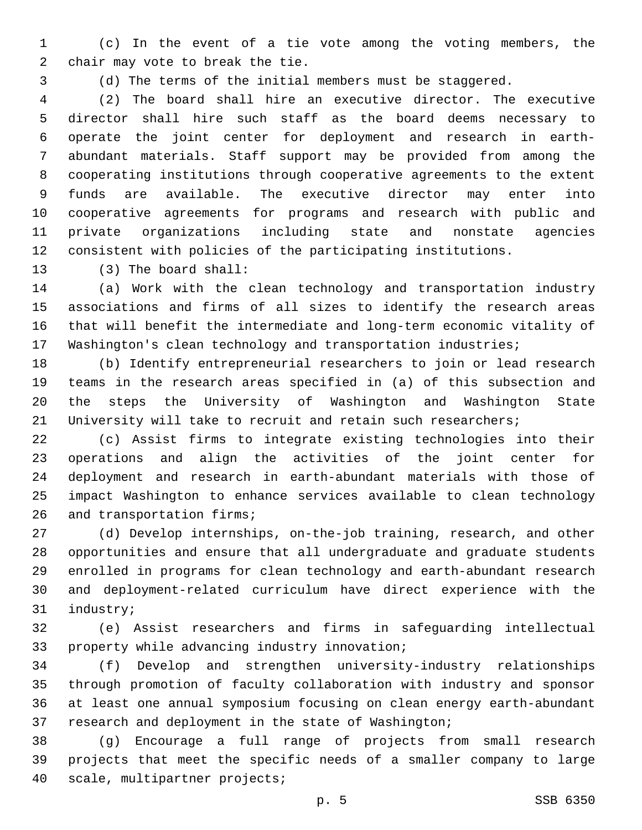(c) In the event of a tie vote among the voting members, the 2 chair may vote to break the tie.

(d) The terms of the initial members must be staggered.

 (2) The board shall hire an executive director. The executive director shall hire such staff as the board deems necessary to operate the joint center for deployment and research in earth- abundant materials. Staff support may be provided from among the cooperating institutions through cooperative agreements to the extent funds are available. The executive director may enter into cooperative agreements for programs and research with public and private organizations including state and nonstate agencies consistent with policies of the participating institutions.

13 (3) The board shall:

 (a) Work with the clean technology and transportation industry associations and firms of all sizes to identify the research areas that will benefit the intermediate and long-term economic vitality of Washington's clean technology and transportation industries;

 (b) Identify entrepreneurial researchers to join or lead research teams in the research areas specified in (a) of this subsection and the steps the University of Washington and Washington State University will take to recruit and retain such researchers;

 (c) Assist firms to integrate existing technologies into their operations and align the activities of the joint center for deployment and research in earth-abundant materials with those of impact Washington to enhance services available to clean technology 26 and transportation firms;

 (d) Develop internships, on-the-job training, research, and other opportunities and ensure that all undergraduate and graduate students enrolled in programs for clean technology and earth-abundant research and deployment-related curriculum have direct experience with the 31 industry;

 (e) Assist researchers and firms in safeguarding intellectual 33 property while advancing industry innovation;

 (f) Develop and strengthen university-industry relationships through promotion of faculty collaboration with industry and sponsor at least one annual symposium focusing on clean energy earth-abundant research and deployment in the state of Washington;

 (g) Encourage a full range of projects from small research projects that meet the specific needs of a smaller company to large 40 scale, multipartner projects;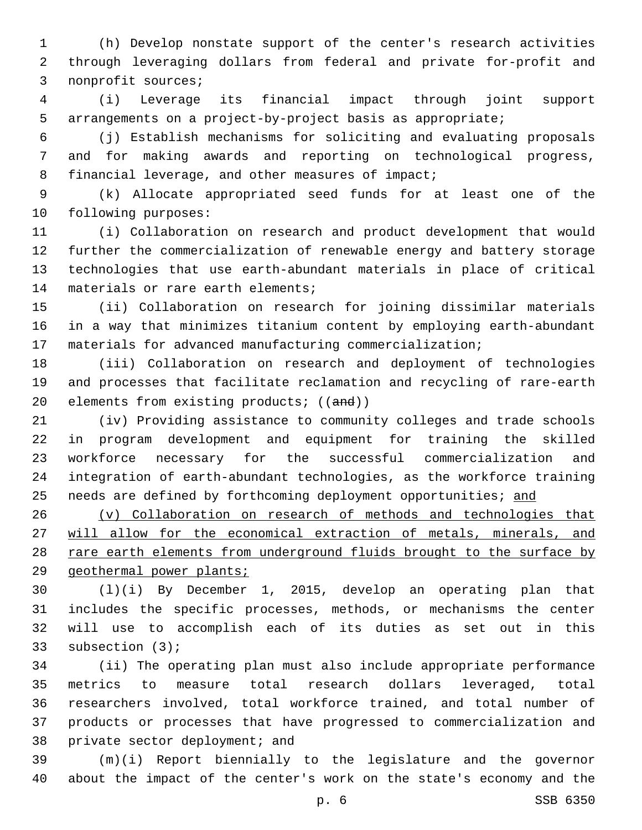(h) Develop nonstate support of the center's research activities through leveraging dollars from federal and private for-profit and 3 nonprofit sources;

 (i) Leverage its financial impact through joint support arrangements on a project-by-project basis as appropriate;

 (j) Establish mechanisms for soliciting and evaluating proposals and for making awards and reporting on technological progress, 8 financial leverage, and other measures of impact;

 (k) Allocate appropriated seed funds for at least one of the 10 following purposes:

 (i) Collaboration on research and product development that would further the commercialization of renewable energy and battery storage technologies that use earth-abundant materials in place of critical 14 materials or rare earth elements;

 (ii) Collaboration on research for joining dissimilar materials in a way that minimizes titanium content by employing earth-abundant materials for advanced manufacturing commercialization;

 (iii) Collaboration on research and deployment of technologies and processes that facilitate reclamation and recycling of rare-earth 20 elements from existing products; ((and))

 (iv) Providing assistance to community colleges and trade schools in program development and equipment for training the skilled workforce necessary for the successful commercialization and integration of earth-abundant technologies, as the workforce training 25 needs are defined by forthcoming deployment opportunities; and

 (v) Collaboration on research of methods and technologies that will allow for the economical extraction of metals, minerals, and 28 rare earth elements from underground fluids brought to the surface by geothermal power plants;

 (l)(i) By December 1, 2015, develop an operating plan that includes the specific processes, methods, or mechanisms the center will use to accomplish each of its duties as set out in this 33 subsection (3);

 (ii) The operating plan must also include appropriate performance metrics to measure total research dollars leveraged, total researchers involved, total workforce trained, and total number of products or processes that have progressed to commercialization and 38 private sector deployment; and

 (m)(i) Report biennially to the legislature and the governor about the impact of the center's work on the state's economy and the